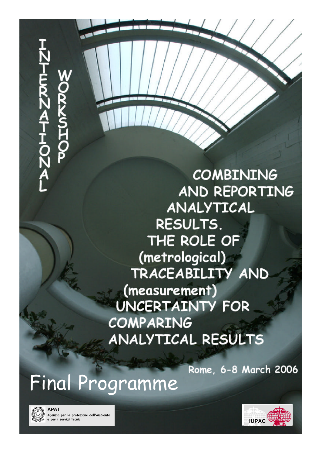**COMBINING** AND REPORTING ANALYTICAL RESULTS. THE ROLE OF (metrological) TRACEABILITY AND (measurement) **UNCERTAINTY FOR COMPARING ANALYTICAL RESULTS** 

Rome, 6-8 March 2006

*Final Programme*



**APAT Agenzia per la protezione dell'ambiente e per i servizi tecnici IUPAC**

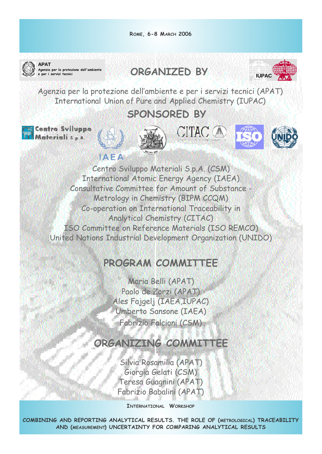



**APAT Agenzia per la protezione dell'ambiente**

**ORGANIZED BY** 



*Agenzia per la protezione dell'ambiente e per i servizi tecnici (APAT) International Union of Pure and Applied Chemistry (IUPAC)*

# **SPONSORED BY**

tro Sviluppo









*Centro Sviluppo Materiali S.p.A. (CSM) International Atomic Energy Agency (IAEA) Consultative Committee for Amount of Substance - Metrology in Chemistry (BIPM CCQM) Co-operation on International Traceability in Analytical Chemistry (CITAC) ISO Committee on Reference Materials (ISO REMCO) United Nations Industrial Development Organization (UNIDO)*

# **PROGRAM COMMITTEE**

*Maria Belli (APAT) Paolo de Zorzi (APAT) Ales Fajgelj (IAEA,IUPAC) Umberto Sansone (IAEA) Fabrizio Falcioni (CSM)*

# **ORGANIZING COMMITTEE**

*Silvia Rosamilia (APAT) Giorgia Gelati (CSM) Teresa Guagnini (APAT) Fabrizio Babalini (APAT)*

**INTERNATIONAL WORKSHOP**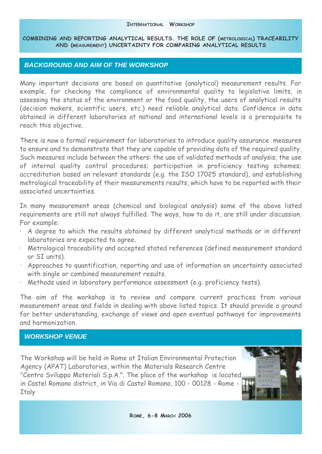## *BACKGROUND AND AIM OF THE WORKSHOP*

*Many important decisions are based on quantitative (analytical) measurement results. For example, for checking the compliance of environmental quality to legislative limits, in assessing the status of the environment or the food quality, the users of analytical results (decision makers, scientific users, etc.) need reliable analytical data. Confidence in data obtained in different laboratories at national and international levels is a prerequisite to reach this objective.*

*There is now a formal requirement for laboratories to introduce quality assurance measures to ensure and to demonstrate that they are capable of providing data of the required quality. Such measures include between the others: the use of validated methods of analysis; the use of internal quality control procedures; participation in proficiency testing schemes; accreditation based on relevant standards (e.g. the ISO 17025 standard), and establishing metrological traceability of their measurements results, which have to be reported with their associated uncertainties.*

*In many measurement areas (chemical and biological analysis) some of the above listed requirements are still not always fulfilled. The ways, how to do it, are still under discussion. For example:*

- *· A degree to which the results obtained by different analytical methods or in different laboratories are expected to agree.*
- *· Metrological traceability and accepted stated references (defined measurement standard or SI units).*
- *· Approaches to quantification, reporting and use of information on uncertainty associated with single or combined measurement results.*
- *· Methods used in laboratory performance assessment (e.g. proficiency tests).*

*The aim of the workshop is to review and compare current practices from various measurement areas and fields in dealing with above listed topics. It should provide a ground for better understanding, exchange of views and open eventual pathways for improvements and harmonization.*

# *WORKSHOP VENUE*

*The Workshop will be held in Rome at Italian Environmental Protection Agency (APAT) Laboratories, within the Materials Research Centre "Centro Sviluppo Materiali S.p.A.". The place of the workshop is located in Castel Romano district, in Via di Castel Romano, 100 - 00128 - Rome - Italy*

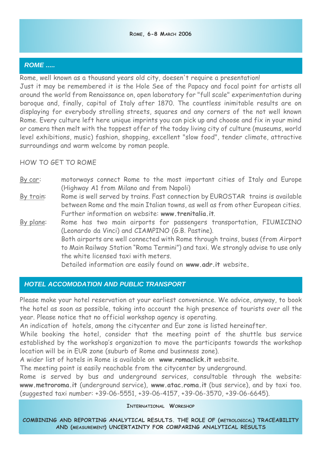# *ROME .....*

*Rome, well known as a thousand years old city, doesen't require a presentation!*

*Just it may be remembered it is the Hole See of the Papacy and focal point for artists all around the world from Renaissance on, open laboratory for "full scale" experimentation during baroque and, finally, capital of Italy after 1870. The countless inimitable results are on displaying for everybody strolling streets, squares and any corners of the not well known Rome. Every culture left here unique imprints you can pick up and choose and fix in your mind or camera then melt with the toppest offer of the today living city of culture (museums, world level exhibitions, music) fashion, shopping, excellent "slow food", tender climate, attractive surroundings and warm welcome by roman people.*

# *HOW TO GET TO ROME*

- *By car: motorways connect Rome to the most important cities of Italy and Europe (Highway A1 from Milano and from Napoli)*
- *By train: Rome is well served by trains. Fast connection by EUROSTAR trains is available between Rome and the main Italian towns, as well as from other European cities. Further information on website:* **www.trenitalia.it***.*
- *By plane: Rome has two main airports for passengers transportation, FIUMICINO (Leonardo da Vinci) and CIAMPINO (G.B. Pastine). Both airports are well connected with Rome through trains, buses (from Airport to Main Railway Station "Roma Termini") and taxi. We strongly advise to use only the white licensed taxi with meters. Detailed information are easily found on* **www.adr.it** *website***.**

# *HOTEL ACCOMODATION AND PUBLIC TRANSPORT*

*Please make your hotel reservation at your earliest convenience. We advice, anyway, to book the hotel as soon as possible, taking into account the high presence of tourists over all the year. Please notice that no official workshop agency is operating.* 

*An indication of hotels, among the citycenter and Eur zone is listed hereinafter.*

*While booking the hotel, consider that the meeting point of the shuttle bus service established by the workshop's organization to move the participants towards the workshop location will be in EUR zone (suburb of Rome and businness zone).* 

*A wider list of hotels in Rome is available on* **www.romaclick.it** *website.*

The meeting point is easily reachable from the citycenter by underground.

*Rome is served by bus and underground services, consultable through the website:* **www.metroroma.it** *(underground service),* **www.atac.roma.it** *(bus service), and by taxi too. (suggested taxi number: +39-06-5551, +39-06-4157, +39-06-3570, +39-06-6645).*

### **INTERNATIONAL WORKSHOP**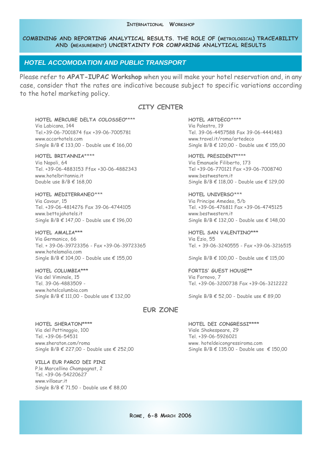### *HOTEL ACCOMODATION AND PUBLIC TRANSPORT*

*Please refer to* **APAT-IUPAC Workshop** *when you will make your hotel reservation and, in any case, consider that the rates are indicative because subject to specific variations according to the hotel marketing policy.* 

### **CITY CENTER**

**HOTEL MERCURE DELTA COLOSSEO***\*\*\*\** **HOTEL ARTDECO***\*\*\*\* Via Labicana, 144 Via Palestro, 19 Tel.+39-06-7001874 fax +39-06-7005781 Tel. 39-06-4457588 Fax 39-06-4441483 www.accorhotels.com www.travel.it/roma/artedeco Single B/B € 133,00 - Double use € 166,00 Single B/B € 120,00 - Double use € 155,00*

**HOTEL BRITANNIA***\*\*\*\** **HOTEL PRESIDENT***\*\*\*\* Via Napoli, 64 Via Emanuele Filiberto, 173 Tel. +39-06-4883153 Ffax +30-06-4882343 Tel +39-06-770121 Fax +39-06-7008740 www.hotelbritannia.it www.bestwestern.it Double use B/B € 168,00 Single B/B € 118,00 - Double use € 129,00*

**HOTEL MEDITERRANEO***\*\*\** **HOTEL UNIVERSO***\*\*\* Via Cavour, 15 Via Principe Amedeo, 5/b Tel. +39-06-4814276 Fax 39-06-4744105 Tel. +39-06-476811 Fax +39-06-4745125 www.bettojahotels.it www.bestwestern.it Single B/B € 147,00 - Double use € 196,00 Single B/B € 132,00 - Double use € 148,00*

**HOTEL AMALIA\*\*\* HOTEL SAN VALENTINO\*\*\*** *Via Germanico, 66 Via Ezio, 55 Tel. + 39-06-39723356 - Fax +39-06-39723365 Tel. + 39-06-3240555 - Fax +39-06-3216515 www.hotelamalia.com Single B/B € 104,00 - Double use € 155,00 Single B/B € 100,00 - Double use € 115,00*

**HOTEL COLUMBIA\*\*\* FORTIS' GUEST HOUSE\*\*** *Via del Viminale, 15 Via Fornovo, 7 www.hotelcolumbia.com Single B/B € 111,00 - Double use € 132,00 Single B/B € 52,00 - Double use € 89,00*

*Tel. 39-06-4883509 - Tel. +39-06-3200738 Fax +39-06-3212222*

#### **EUR ZONE**

**HOTEL SHERATON\*\*\*\* HOTEL DEI CONGRESSI\*\*\*\*** *Via del Pattinaggio, 100 Viale Shakespeare, 29 Tel. +39-06-54531 Tel. +39-06-5926021 www.sheraton.com/roma www. hoteldeicongressiroma.com Single B/B € 227,00 - Double use € 252,00 Single B/B € 135.00 - Double use € 150,00*

**VILLA EUR PARCO DEI PINI** *P.le Marcellino Champagnat, 2 Tel. +39-06-54220627 www.villaeur.it Single B/B € 71.50 - Double use € 88,00*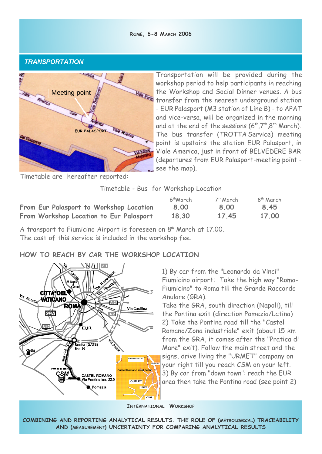#### **ROME, 6-8 MARCH 2006**

## *TRANSPORTATION*



*Transportation will be provided during the workshop period to help participants in reaching the Workshop and Social Dinner venues. A bus transfer from the nearest underground station - EUR Palasport (M3 station of Line B) - to APAT and vice-versa, will be organized in the morning and at the end of the sessions (6***th***,7***th***,8***th** *March). The bus transfer (TROTTA Service) meeting point is upstairs the station EUR Palasport, in Viale America, just in front of BELVEDERE BAR (departures from EUR Palasport-meeting point see the map).*

*Timetable are hereafter reported:*

*Timetable - Bus for Workshop Location*

|                                         | 6 <sup>th</sup> March | 7th March | 8 <sup>th</sup> March |
|-----------------------------------------|-----------------------|-----------|-----------------------|
| From Eur Palasport to Workshop Location | 8.00                  | 8.00      | 8.45                  |
| From Workshop Location to Eur Palasport | 18.30                 | 17.45     | 17.00                 |

*A transport to Fiumicino Airport is foreseen on 8***th** *March at 17.00. The cost of this service is included in the workshop fee.*

# **HOW TO REACH BY CAR THE WORKSHOP LOCATION**



*1) By car from the "Leonardo da Vinci" Fiumicino airport: Take the high way "Roma-Fiumicino" to Roma till the Grande Raccordo Anulare (GRA).*

*Take the GRA, south direction (Napoli), till the Pontina exit (direction Pomezia/Latina) 2) Take the Pontina road till the "Castel Romano/Zona industriale" exit (about 15 km from the GRA, it comes after the "Pratica di Mare" exit). Follow the main street and the signs, drive living the "URMET" company on your right till you reach CSM on your left. 3) By car from "down town": reach the EUR area then take the Pontina road (see point 2)*

**INTERNATIONAL WORKSHOP**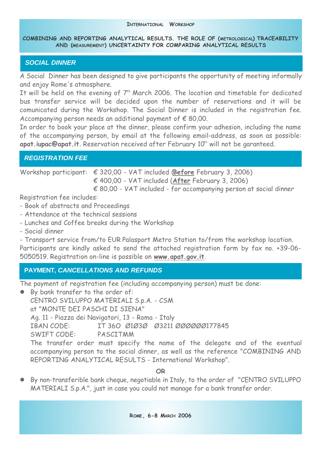# *SOCIAL DINNER*

*A Social Dinner has been designed to give participants the opportunity of meeting informally and enjoy Rome's atmosphere.*

*It will be held on the evening of 7th March 2006. The location and timetable for dedicated bus transfer service will be decided upon the number of reservations and it will be comunicated during the Workshop. The Social Dinner is included in the registration fee. Accompanying person needs an additional payment of € 80,00.*

*In order to book your place at the dinner, please confirm your adhesion, including the name of the accompanying person, by email at the following email-address, as soon as possible:* **apat.iupac@apat.it***. Reservation received after February 10th will not be garanteed.*

# *REGISTRATION FEE*

*Workshop participant: € 320,00 - VAT included (***Before** *February 3, 2006) € 400,00 - VAT included (***After** *February 3, 2006)*

*€ 80,00 - VAT included - for accompanying person at social dinner*

*Registration fee includes:*

- *Book of abstracts and Proceedings*
- *Attendance at the technical sessions*
- *Lunches and Coffee breaks during the Workshop*
- *Social dinner*

*- Transport service from/to EUR Palasport Metro Station to/from the workshop location.*

*Participants are kindly asked to send the attached registration form by fax no. +39-06- 5050519. Registration on-line is possible on* **www.apat.gov.it***.*

# **PAYMENT,** *CANCELLATIONS AND REFUNDS*

*The payment of registration fee (including accompanying person) must be done:*

l *By bank transfer to the order of: CENTRO SVILUPPO MATERIALI S.p.A. - CSM at "MONTE DEI PASCHI DI SIENA" Ag. 11 - Piazza dei Navigatori, 13 - Roma - Italy IBAN CODE: IT 36O Ø1Ø3Ø Ø3211 ØØØØØØ177845 SWIFT CODE: PASCITMM The transfer order must specify the name of the delegate and of the eventual accompanying person to the social dinner, as well as the reference "COMBINING AND REPORTING ANALYTICAL RESULTS - International Workshop".* 

**OR**

l *By non-transferible bank cheque, negotiable in Italy, to the order of "CENTRO SVILUPPO MATERIALI S.p.A.", just in case you could not manage for a bank transfer order.*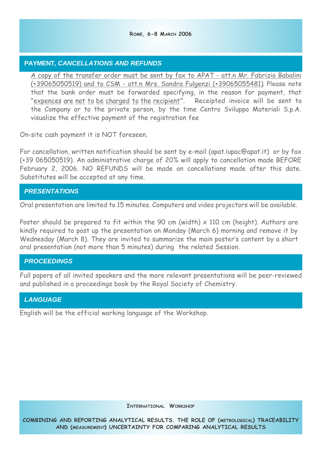# **PAYMENT,** *CANCELLATIONS AND REFUNDS*

*A copy of the transfer order must be sent by fax to APAT - att.n Mr. Fabrizio Babalini (+39065050519) and to CSM - att.n Mrs. Sandra Fulgenzi (+39065055481). Please note that the bank order must be forwarded specifying, in the reason for payment, that "expences are not to be charged to the recipient". Receipted invoice will be sent to the Company or to the private person, by the time Centro Sviluppo Materiali S.p.A. visualize the effective payment of the registration fee*

*On-site cash payment it is NOT foreseen.*

*For cancellation, written notification should be sent by e-mail (apat.iupac@apat.it) or by fax (+39 065050519). An administrative charge of 20% will apply to cancellation made BEFORE February 2, 2006. NO REFUNDS will be made on cancellations made after this date. Substitutes will be accepted at any time.*

# *PRESENTATIONS*

*Oral presentation are limited to 15 minutes. Computers and video projectors will be available.*

*Poster should be prepared to fit within the 90 cm (width) x 110 cm (height). Authors are kindly required to post up the presentation on Monday (March 6) morning and remove it by Wednesday (March 8). They are invited to summarize the main poster's content by a short oral presentation (not more than 5 minutes) during the related Session.*

# *PROCEEDINGS*

*Full papers of all invited speakers and the more relevant presentations will be peer-reviewed and published in a proceedings book by the Royal Society of Chemistry.* 

# *LANGUAGE*

*English will be the official working language of the Workshop.*

**INTERNATIONAL WORKSHOP**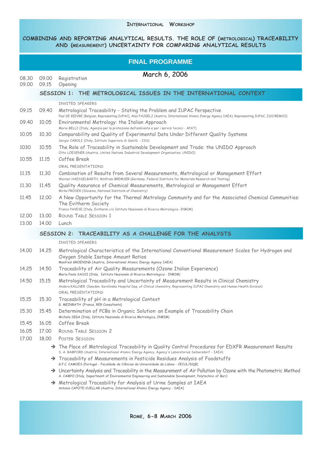#### **INTERNATIONAL WORKSHOP**

| <b>FINAL PROGRAMME</b> |                                                                 |                                                                                                                                                                                                                                                 |  |  |  |
|------------------------|-----------------------------------------------------------------|-------------------------------------------------------------------------------------------------------------------------------------------------------------------------------------------------------------------------------------------------|--|--|--|
| 08.30<br>09.00         | 09.00<br>09.15                                                  | March 6, 2006<br>Registration<br>Opening                                                                                                                                                                                                        |  |  |  |
|                        | SESSION 1: THE METROLOGICAL ISSUES IN THE INTERNATIONAL CONTEXT |                                                                                                                                                                                                                                                 |  |  |  |
|                        |                                                                 | INVITED SPEAKERS                                                                                                                                                                                                                                |  |  |  |
| 09.15                  | 09.40                                                           | Metrological Traceability - Stating the Problem and IUPAC Perspective<br>Paul DE BIEVRE (Belgium, Representing IUPAC), Ales FAJGELJ (Austria, International Atomic Energy Agency IAEA), Representing IUPAC, ISO/REMCO)                          |  |  |  |
| 09.40                  | 10.05                                                           | Environmental Metrology: the Italian Approach<br>Maria BELLI (Italy, Agenzia per la protezione dell'ambiente e per i servizi tecnici - APAT)                                                                                                    |  |  |  |
| 10.05                  | 10.30                                                           | Comparability and Quality of Experimental Data Under Different Quality Systems<br>Sergio CAROLI (Italy, Istituto Superiore di Sanità - ISS)                                                                                                     |  |  |  |
| 1030                   | 10.55                                                           | The Role of Traceability in Sustainable Development and Trade: the UNIDO Approach<br>Otto LOESENER (Austria, United Nations Industrial Development Organization, UNIDO)                                                                         |  |  |  |
| 10.55                  | 11.15                                                           | Coffee Break                                                                                                                                                                                                                                    |  |  |  |
|                        |                                                                 | ORAL PRESENTATIONS                                                                                                                                                                                                                              |  |  |  |
| 11.15                  | 11,30                                                           | Combination of Results from Several Measurements, Metrological or Management Effort<br>Werner HAESSELBARTH, Wolfram BREMSER (Germany, Federal Institute for Materials Research and Testing)                                                     |  |  |  |
| 11,30                  | 11.45                                                           | Quality Assurance of Chemical Measurements, Metrological or Management Effort<br>Mirko PROSEK (Slovenia, National Institute of Chemistry)                                                                                                       |  |  |  |
| 11,45                  | 12,00                                                           | A New Opportunity for the Thermal Metrology Community and for the Associated Chemical Communities:<br>The Evitherm Society<br>Franco PAVESE (Italy, Evitherm c/o Istituto Nazionale di Ricerca Metrologica -INRIM)                              |  |  |  |
| 12,00                  | 13,00                                                           | ROUND TABLE SESSION 1                                                                                                                                                                                                                           |  |  |  |
| 13.00                  | 14.00                                                           | Lunch                                                                                                                                                                                                                                           |  |  |  |
|                        | SESSION 2: TRACEABILITY AS A CHALLENGE FOR THE ANALYSTS         |                                                                                                                                                                                                                                                 |  |  |  |
|                        |                                                                 | INVITED SPEAKERS                                                                                                                                                                                                                                |  |  |  |
| 14.00                  | 14.25                                                           | Metrological Characteristics of the International Conventional Measurement Scales for Hydrogen and<br>Oxygen Stable Isotope Amount Ratios<br>Manfred GROENING (Austria, International Atomic Energy Agency IAEA)                                |  |  |  |
| 14.25                  | 14.50                                                           | Traceability of Air Quality Measurements (Ozone Italian Experience)<br>Maria Paola SASSI (Italy, Istituto Nazionale di Ricerca Metrologica - INRIM)                                                                                             |  |  |  |
| 14.50                  | 15,15                                                           | Metrological Traceability and Uncertainty of Measurement Results in Clinical Chemistry<br>Anders KALLNER (Sweden, Karolinska Hospital Dep. of Clinical chemistry, Representing IUPAC Chemistry and Human Health Division)<br>ORAL PRESENTATIONS |  |  |  |
| 15,15                  | 15.30                                                           | Traceability of pH in a Metrological Context<br>G. MEINRATH (France, RER Consultants)                                                                                                                                                           |  |  |  |
| 15.30                  | 15.45                                                           | Determination of PCBs in Organic Solution: an Example of Traceability Chain<br>Michela SEGA (Italy, Istituto Nazionale di Ricerca Metrologica, INRIM)                                                                                           |  |  |  |
| 15.45                  | 16.05                                                           | Coffee Break                                                                                                                                                                                                                                    |  |  |  |
| 16.05                  | 17.00                                                           | ROUND TABLE SESSION 2                                                                                                                                                                                                                           |  |  |  |
| 17.00                  | 18,00                                                           | POSTER SESSION                                                                                                                                                                                                                                  |  |  |  |
|                        |                                                                 | $\rightarrow$ The Place of Metrological Traceability in Quality Control Procedures for EDXFR Measurement Results<br>S. A. BAMFORD (Austria, International Atomic Energy Agency, Agency's Laboratories Seibersdorf - IAEA)                       |  |  |  |
|                        |                                                                 | $\rightarrow$ Traceability of Measurements in Pesticide Residues Analysis of Foodstuffs<br>G.F.C. CAMOES (Portugal - Faculdade de Ciências da Universidade de Lisboa - CECUL/DQB)                                                               |  |  |  |
|                        |                                                                 | $\rightarrow$ Uncertainty Analysis and Traceability in the Measurement of Air Pollution by Ozone with the Photometric Method<br>A. CAMPO (Italy, Department of Environmental Engineering and Sustainable Development, Polytechnic of Bari)      |  |  |  |
|                        |                                                                 | $\rightarrow$ Metrological Traceability for Analysis of Urine Samples at IAEA<br>Antonio CAPOTE-CUELLAR (Austria, International Atomic Energy Agency - IAEA)                                                                                    |  |  |  |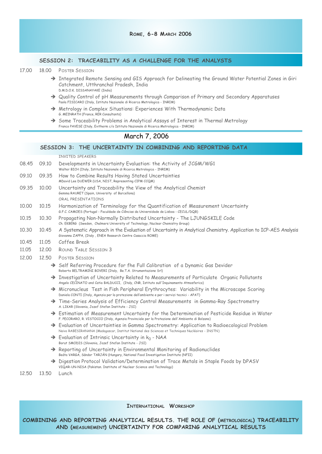#### **SESSION 2: TRACEABILITY AS A CHALLENGE FOR THE ANALYSTS**

- *17.00 18.00 POSTER SESSION*
	- → Integrated Remote Sensing and GIS Approach for Delineating the Ground Water Potential Zones in Giri *Catchment, Utthranchal Pradesh, India D.M.D.O.K. DISSANAYAKE (India)*
	- Ë *Quality Control of pH Measurements through Comparison of Primary and Secondary Apparatuses Paola FISICARO (Italy, Istituto Nazionale di Ricerca Metrologica - INRIM)*
	- Ë *Metrology in Complex Situations: Experiences With Thermodynamic Data G. MEINRATH (France, RER Consultants)*
	- → Some Traceability Problems in Analytical Assays of Interest in Thermal Metrology *Franco PAVESE (Italy, Evitherm c/o Istituto Nazionale di Ricerca Metrologica - INRIM)*

### *March 7, 2006*

#### **SESSION 3: THE UNCERTAINTY IN COMBINING AND REPORTING DATA**

```
INVITED SPEAKERS
```

| 08.45 | 09.10 | Developments in Uncertainty Evaluation: the Activity of JCGM/WG1<br>Walter BICH (Italy, Istituto Nazionale di Ricerca Metrologica - INRIM)                                     |
|-------|-------|--------------------------------------------------------------------------------------------------------------------------------------------------------------------------------|
| 09.10 | 09.35 | How to Combine Results Having Stated Uncertainties<br>MDavid Lee DUEWER (USA, NIST, Representing CIPM CCQM)                                                                    |
| 09.35 | 10.00 | Uncertainty and Traceability the View of the Analytical Chemist<br>Gemma RAURET (Spain, University of Barcellona)<br>ORAL PRESENTATIONS                                        |
| 10.00 | 10.15 | Harmonization of Terminology for the Quantification of Measurement Uncertainty<br>G.F.C. CAMOES (Portugal - Faculdade de Ciências da Universidade de Lisboa - CECUL/DQB)       |
| 10.15 | 10.30 | Propagating Non-Normally Distributed Uncertainty - The LJUNGSKILE Code<br>Ch. EKBERG (Sweden, Chalmers University of Technology, Nuclear Chemistry Group)                      |
| 10.30 | 10.45 | A Systematic Approach in the Evaluation of Uncertainty in Analytical Chemistry. Application to ICP-AES Analysis<br>Giovanna ZAPPA, (Italy, ENEA Research Centre Casaccia ROME) |
| 10.45 | 11.05 | Coffee Break                                                                                                                                                                   |
| 11.05 | 12.00 | <b>ROUND TABLE SESSION 3</b>                                                                                                                                                   |
| 12.00 | 12.50 | <b>POSTER SESSION</b>                                                                                                                                                          |
|       |       | A Colf Defensive Dressdure for the Full Colibration of a Dunemic Cad Douidan                                                                                                   |

- → Self Referring Procedure for fhe Full Calibration of a Dynamic Gas Devider *Roberto BELTRAMINI BOVERI (Italy, Be.T.A. Strumentazione Srl)*
- Ë *Investigation of Uncertainty Related to Measurements of Particulate Organic Pollutants Angelo CECINATO and Catia BALDUCCI, (Italy, CNR, Istituto sull'Inquinamento Atmosferico)*
- → Micronucleus Test in Fish Peripheral Erythrocytes: Variability in the Microscope Scoring *Daniela CONTI (Italy, Agenzia per la protezione dell'ambiente e per i servizi tecnici - APAT)*
- Ë *Time-Series Analysis of Efficiency Control Measurements in Gamma-Ray Spectrometry A. LIKAR (Slovenia, Jozef Stefan Institute - JSI)*
- → Estimation of Measurement Uncertainty for the Determination of Pesticide Residue in Water *F. PECORARO, R. VISTOCCO (Italy, Agenzia Provinciale per la Protezione dell'Ambiente di Bolzano)*
- → Evaluation of Uncertainties in Gamma Spectrometry: Application to Radioecological Problem *Naivo RABESIRANANA (Madagascar, Institut National des Sciences et Techniques Nucléaires - INSTN)*
- Ë *Evaluation of Intrinsic Uncertainty in k<sup>0</sup> NAA Borut SMODIS (Slovenia, Jozef Stefan Institute - JSI)*
- Ë *Reporting of Uncertainty in Environmental Monitoring of Radionuclides Beáta VARGA, Sándor TARJÁN (Hungary, National Food Investigation Institute (NFII)*
- → Digestion Protocol Validation/Determination of Trace Metals in Staple Foods by DPASV *VIQAR-UN-NISA (Pakistan. Institute of Nuclear Science and Technology)*

*12.50 13.50 Lunch*

#### **INTERNATIONAL WORKSHOP**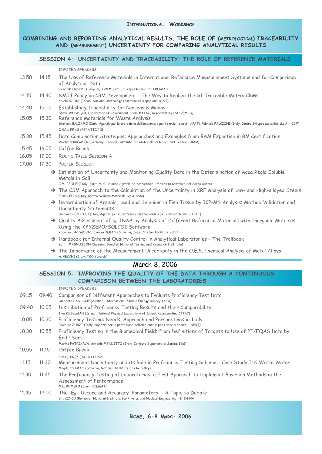#### **SESSION 4: UNCERTAINTY AND TRACEABILITY: THE ROLE OF REFERENCE MATERIALS**

*INVITED SPEAKERS*

- *13.50 14.15 The Use of Reference Materials in International Reference Maeasurement Systems and for Comparison of Analytical Data*
	- *Hendrik EMONS (Belgium, IRMM JRC, EC, Representing ISO REMCO)*
- *14.15 14.40 NMIJ Policy on CRM Development The Way to Realize the SI Traceable Matrix CRMs Koichi CHIBA (Japan, National Metrology Institute of Japan and AIST)*
- *14.40 15.05 Establishing Traceability for Consensus Means*
	- *Steve WOOD (UK, Laboratory of Government Chemists LGC, Representing ISO REMCO)*
- *15.05 15.30 Reference Materials for Waste Analysis Stefania BALZAMO (Italy, Agenzia per la protezione dell'ambiente e per i servizi tecnici - APAT), Fabrizio FALCIONI (Italy, Centro Sviluppo Materiali, S.p.A. - CSM) ORAL PRESENTATIONS*
- *15.30 15.45 Data Combination Strategies: Approaches and Examples from BAM Expertise in RM Certification Wolfram BREMSER (Germany, Federal Institute for Materials Research and Testing - BAM)*
- *15.45 16.05 Coffee Break*
- *16.05 17.00 ROUND TABLE SESSION 4*
- *17.00 17.30 POSTER SESSION*
	- → Estimation of Uncertainty and Monitoring Quality Data in the Determination of Aqua Regia Soluble *Metals in Soil*

*G.M. BEONE (Italy, Istituto di Chimica Agraria ed Ambientale, Università Cattolica del Sacro Cuore)*

- → The CSM Approach to the Calculation of the Uncertainty in XRF Analysis of Low- and High-alloyed Steels *Elena CELIA (Italy, Centro Sviluppo Materiali, S.p.A. CSM)*
- → Determination of Arsenic, Lead and Selenium in Fish Tissue by ICP-MS Analysis: Method Validation and *Uncertainty Statements*

*Damiano CENTIOLI (Italy, Agenzia per la protezione dell'ambiente e per i servizi tecnici - APAT)*

Ë *Quality Assessment of k<sup>0</sup> -INAA by Analysis of Different Reference Materials with Inorganic Matrices Using the KAYZERO/SOLCOI Software*

*Radojko JACIMOVIC, Zvonka JERAN (Slovenia, Jozef Stefan Institute - JSI)*

- → Handbook for Internal Quality Control in Analytical Laboratories The Trollbook *Bertil MAGNUSSON (Sweden, Swedish National Testing and Research Institute)*
- $\rightarrow$  The Importance of the Measurement Uncertainty in the O.E.S. Chemical Analysis of Metal Alloys *A. VECCHI (Italy, T&C-Eurolab)*

### *March 8, 2006*

#### **SESSION 5: IMPROVING THE QUALITY OF THE DATA THROUGH A CONTINUOUS COMPARISON BETWEEN THE LABORATORIES**

*INVITED SPEAKERS 09.15 09.40 Comparison of Different Approaches to Evaluate Proficiency Test Data Umberto SANSONE (Austria, International Atomic Energy Agency IAEA) 09.40 10.05 Distribution of Proficiency Testing Results and their Comparability Ilya KUSELMAN (Israel, National Physical Laboratory of Israel, Representing CITAC) 10.05 10.30 Proficiency Testing: Needs, Approach and Perspectives in Italy Paolo de ZORZI (Italy, Agenzia per la protezione dell'ambiente e per i servizi tecnici - APAT) 10.30 10.55 Proficiency Testing in the Biomedical Field: from Definitions of Targets to Use of PT/EQAS Data by End-Users Marina PATRIARCA, Antonio MENDITTO (Italy, Istituto Superiore di Sanità, ISS) 10.55 11.15 Coffee Break ORAL PRESENTATIONS 11.15 11.30 Measurement Uncertainty and its Role in Proficiency Testing Scheme - Case Study ILC Waste Water Magda COTMAN (Slovenia, National Institute of Chemistry) 11.30 11.45 The Proficiency Testing of Laboratories: a First Approach to Implement Bayesian Methods in the Assessment of Performance M.L. ROMERO (Spain, CIEMAT) 11.45 12.00 The En, Uscore and Accuracy Parameters - A Topic to Debate Em. CINCU (Romania, National Institute for Physics and Nuclear Engineering - IFIN-HH)*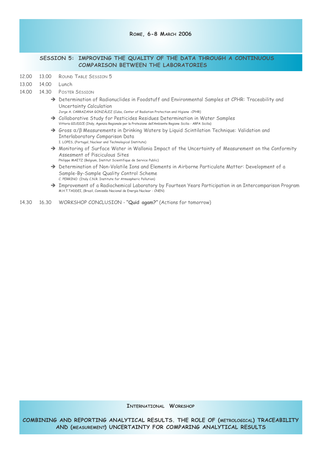#### **ROME, 6-8 MARCH 2006**

#### **SESSION 5: IMPROVING THE QUALITY OF THE DATA THROUGH A CONTINUOUS COMPARISON BETWEEN THE LABORATORIES**

- *12.00 13.00 ROUND TABLE SESSION 5*
- *13.00 14.00 Lunch*
- *14.00 14.30 POSTER SESSION*
	- → Determination of Radionuclides in Foodstuff and Environmental Samples at CPHR: Traceability and *Uncertainty Calculation*
		- *Jorge A. CARRAZANA GONZÁLEZ (Cuba, Center of Radiation Protection and Higiene -CPHR)*
	- → Collaborative Study for Pesticides Residues Determination in Water Samples *Vittoria GIUDICE (Italy, Agenzia Regionale per la Protezione dell'Ambiente Regione Sicilia - ARPA Sicilia)*
	- Ë *Gross* α*/*β *Measurements in Drinking Waters by Liquid Scintilation Technique: Validation and Interlaboratory Comparison Data I. LOPES, (Portugal, Nuclear and Technological Institute)*
	- → Monitoring of Surface Water in Wallonia Impact of the Uncertainty of Measurement on the Conformity *Assesment of Pisciculous Sites*
	- *Philippe MAETZ (Belgium, Institut Scientifique de Service Public)*
	- → Determination of Non-Volatile Ions and Elements in Airborne Particulate Matter: Development of a *Sample-By-Sample Quality Control Scheme C. PERRINO (Italy C.N.R. Institute for Atmospheric Pollution)*
	- Ë *Improvement of a Radiochemical Laboratory by Fourteen Years Participation in an Intercomparison Program M.H.T.TADDEI, (Brazil, Comissão Nacional de Energia Nuclear - CNEN)*
- *14.30 16.30 WORKSHOP CONCLUSION* **"Quid agam?"** *(Actions for tomorrow)*

**INTERNATIONAL WORKSHOP**